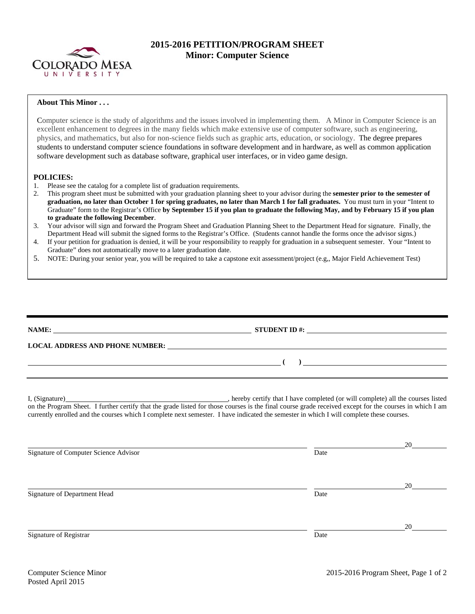

## **2015-2016 PETITION/PROGRAM SHEET Minor: Computer Science**

## **About This Minor . . .**

Computer science is the study of algorithms and the issues involved in implementing them. A Minor in Computer Science is an excellent enhancement to degrees in the many fields which make extensive use of computer software, such as engineering, physics, and mathematics, but also for non-science fields such as graphic arts, education, or sociology. The degree prepares students to understand computer science foundations in software development and in hardware, as well as common application software development such as database software, graphical user interfaces, or in video game design.

## **POLICIES:**

- 1. Please see the catalog for a complete list of graduation requirements.
- 2. This program sheet must be submitted with your graduation planning sheet to your advisor during the **semester prior to the semester of graduation, no later than October 1 for spring graduates, no later than March 1 for fall graduates.** You must turn in your "Intent to Graduate" form to the Registrar's Office **by September 15 if you plan to graduate the following May, and by February 15 if you plan to graduate the following December**.
- 3. Your advisor will sign and forward the Program Sheet and Graduation Planning Sheet to the Department Head for signature. Finally, the Department Head will submit the signed forms to the Registrar's Office. (Students cannot handle the forms once the advisor signs.)
- 4. If your petition for graduation is denied, it will be your responsibility to reapply for graduation in a subsequent semester. Your "Intent to Graduate" does not automatically move to a later graduation date.
- 5. NOTE: During your senior year, you will be required to take a capstone exit assessment/project (e.g,, Major Field Achievement Test)

| <b>NAME:</b><br><u> 1989 - Johann Stein, mars an de Francisco Communication (f. 1989)</u> |                                                              | STUDENT ID #: $\qquad \qquad$ |  |  |  |  |
|-------------------------------------------------------------------------------------------|--------------------------------------------------------------|-------------------------------|--|--|--|--|
| <b>LOCAL ADDRESS AND PHONE NUMBER:</b>                                                    | <u> 1980 - John Stone, Amerikaansk konstantiner (* 1980)</u> |                               |  |  |  |  |
|                                                                                           |                                                              |                               |  |  |  |  |
|                                                                                           |                                                              |                               |  |  |  |  |

I, (Signature) , hereby certify that I have completed (or will complete) all the courses listed on the Program Sheet. I further certify that the grade listed for those courses is the final course grade received except for the courses in which I am currently enrolled and the courses which I complete next semester. I have indicated the semester in which I will complete these courses.

|                                       |      | 20 |
|---------------------------------------|------|----|
| Signature of Computer Science Advisor | Date |    |
|                                       |      | 20 |
| Signature of Department Head          | Date |    |
|                                       |      | 20 |
| Signature of Registrar                | Date |    |